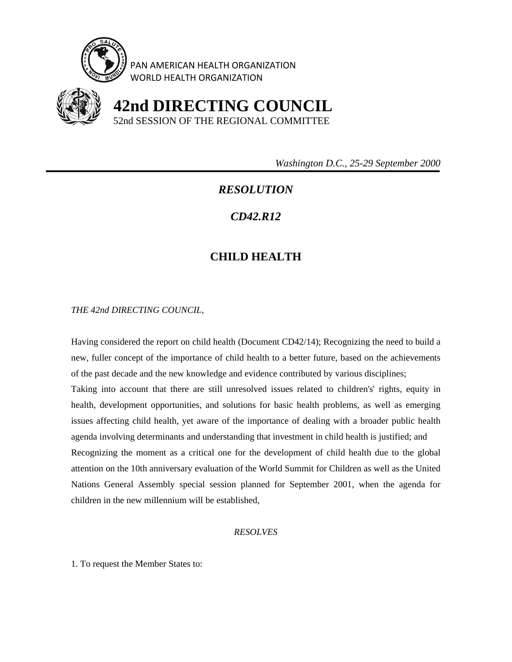

PAN AMERICAN HEALTH ORGANIZATION WORLD HEALTH ORGANIZATION



 **42nd DIRECTING COUNCIL** 52nd SESSION OF THE REGIONAL COMMITTEE

 *Washington D.C., 25-29 September 2000* 

## *RESOLUTION*

## *CD42.R12*

## **CHILD HEALTH**

*THE 42nd DIRECTING COUNCIL,* 

Having considered the report on child health (Document CD42/14); Recognizing the need to build a new, fuller concept of the importance of child health to a better future, based on the achievements of the past decade and the new knowledge and evidence contributed by various disciplines; Taking into account that there are still unresolved issues related to children's' rights, equity in health, development opportunities, and solutions for basic health problems, as well as emerging issues affecting child health, yet aware of the importance of dealing with a broader public health agenda involving determinants and understanding that investment in child health is justified; and Recognizing the moment as a critical one for the development of child health due to the global attention on the 10th anniversary evaluation of the World Summit for Children as well as the United Nations General Assembly special session planned for September 2001, when the agenda for children in the new millennium will be established,

## *RESOLVES*

1. To request the Member States to: